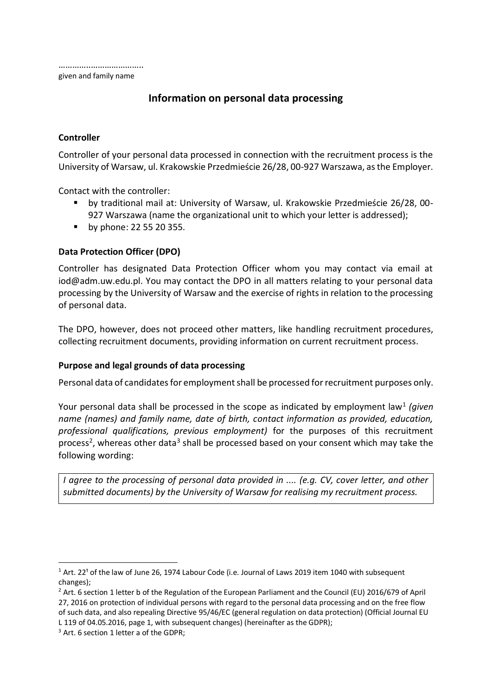# **Information on personal data processing**

## **Controller**

Controller of your personal data processed in connection with the recruitment process is the University of Warsaw, ul. Krakowskie Przedmieście 26/28, 00-927 Warszawa, as the Employer.

Contact with the controller:

- by traditional mail at: University of Warsaw, ul. Krakowskie Przedmieście 26/28, 00- 927 Warszawa (name the organizational unit to which your letter is addressed);
- **by phone: 22 55 20 355.**

## **Data Protection Officer (DPO)**

Controller has designated Data Protection Officer whom you may contact via email at [iod@adm.uw.edu.pl.](mailto:iod@adm.uw.edu.pl) You may contact the DPO in all matters relating to your personal data processing by the University of Warsaw and the exercise of rights in relation to the processing of personal data.

The DPO, however, does not proceed other matters, like handling recruitment procedures, collecting recruitment documents, providing information on current recruitment process.

#### **Purpose and legal grounds of data processing**

Personal data of candidates for employment shall be processed for recruitment purposes only.

Your personal data shall be processed in the scope as indicated by employment law<sup>1</sup> (given *name (names) and family name, date of birth, contact information as provided, education, professional qualifications, previous employment)* for the purposes of this recruitment process<sup>2</sup>, whereas other data<sup>3</sup> shall be processed based on your consent which may take the following wording:

*I agree to the processing of personal data provided in .... (e.g. CV, cover letter, and other submitted documents) by the University of Warsaw for realising my recruitment process.*

1

 $1$  Art. 22<sup>1</sup> of the law of June 26, 1974 Labour Code (i.e. Journal of Laws 2019 item 1040 with subsequent changes);

 $2$  Art. 6 section 1 letter b of the Regulation of the European Parliament and the Council (EU) 2016/679 of April 27, 2016 on protection of individual persons with regard to the personal data processing and on the free flow of such data, and also repealing Directive 95/46/EC (general regulation on data protection) (Official Journal EU L 119 of 04.05.2016, page 1, with subsequent changes) (hereinafter as the GDPR);

<sup>&</sup>lt;sup>3</sup> Art. 6 section 1 letter a of the GDPR: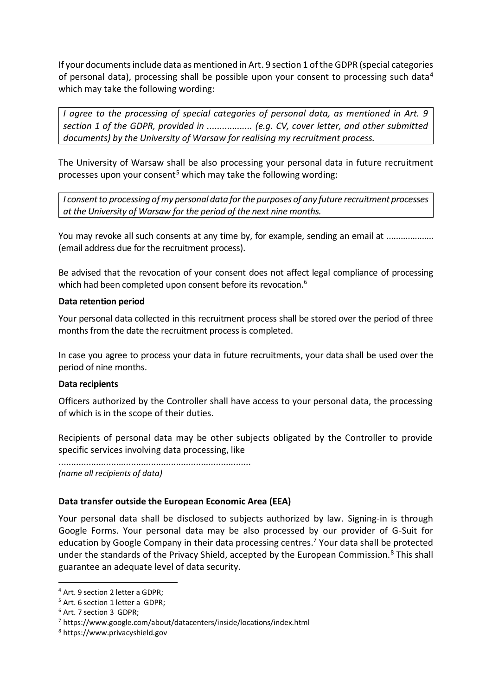If your documents include data as mentioned in Art. 9 section 1 of the GDPR (special categories of personal data), processing shall be possible upon your consent to processing such data<sup>4</sup> which may take the following wording:

*I agree to the processing of special categories of personal data, as mentioned in Art. 9 section 1 of the GDPR, provided in .................. (e.g. CV, cover letter, and other submitted documents) by the University of Warsaw for realising my recruitment process.*

The University of Warsaw shall be also processing your personal data in future recruitment processes upon your consent<sup>5</sup> which may take the following wording:

*I consent to processing of my personal data for the purposes of any future recruitment processes at the University of Warsaw for the period of the next nine months.*

You may revoke all such consents at any time by, for example, sending an email at ............................ (email address due for the recruitment process).

Be advised that the revocation of your consent does not affect legal compliance of processing which had been completed upon consent before its revocation.<sup>6</sup>

#### **Data retention period**

Your personal data collected in this recruitment process shall be stored over the period of three months from the date the recruitment process is completed.

In case you agree to process your data in future recruitments, your data shall be used over the period of nine months.

#### **Data recipients**

Officers authorized by the Controller shall have access to your personal data, the processing of which is in the scope of their duties.

Recipients of personal data may be other subjects obligated by the Controller to provide specific services involving data processing, like

............................................................................. *(name all recipients of data)*

## **Data transfer outside the European Economic Area (EEA)**

Your personal data shall be disclosed to subjects authorized by law. Signing-in is through Google Forms. Your personal data may be also processed by our provider of G-Suit for education by Google Company in their data processing centres.<sup>7</sup> Your data shall be protected under the standards of the Privacy Shield, accepted by the European Commission.<sup>8</sup> This shall guarantee an adequate level of data security.

<sup>1</sup> <sup>4</sup> Art. 9 section 2 letter a GDPR;

<sup>&</sup>lt;sup>5</sup> Art. 6 section 1 letter a GDPR;

<sup>6</sup> Art. 7 section 3 GDPR;

<sup>7</sup> https://www.google.com/about/datacenters/inside/locations/index.html

<sup>8</sup> https://www.privacyshield.gov